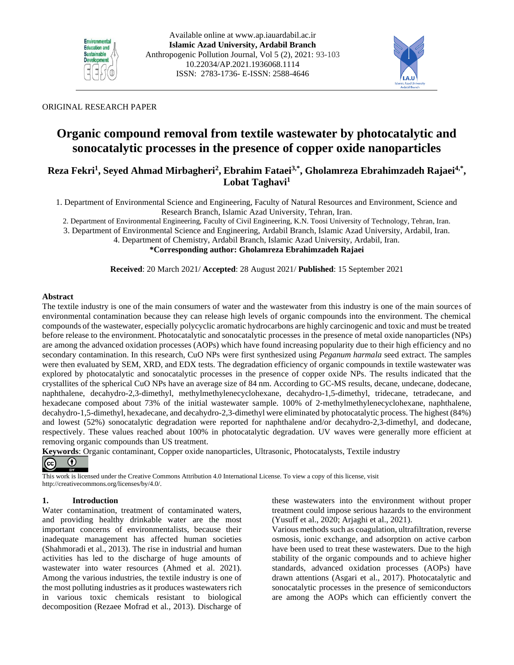



## ORIGINAL RESEARCH PAPER

# **Organic compound removal from textile wastewater by photocatalytic and sonocatalytic processes in the presence of copper oxide nanoparticles**

# **Reza Fekri<sup>1</sup> , Seyed Ahmad Mirbagheri<sup>2</sup> , Ebrahim Fataei3,\*, Gholamreza Ebrahimzadeh Rajaei4,\* , Lobat Taghavi<sup>1</sup>**

1. Department of Environmental Science and Engineering, Faculty of Natural Resources and Environment, Science and Research Branch, Islamic Azad University, Tehran, Iran.

2. Department of Environmental Engineering, Faculty of Civil Engineering, K.N. Toosi University of Technology, Tehran, Iran.

3. Department of Environmental Science and Engineering, Ardabil Branch, Islamic Azad University, Ardabil, Iran.

4. Department of Chemistry, Ardabil Branch, Islamic Azad University, Ardabil, Iran. **\*Corresponding author: Gholamreza Ebrahimzadeh Rajaei**

**Received**: 20 March 2021/ **Accepted**: 28 August 2021/ **Published**: 15 September 2021

#### **Abstract**

The textile industry is one of the main consumers of water and the wastewater from this industry is one of the main sources of environmental contamination because they can release high levels of organic compounds into the environment. The chemical compounds of the wastewater, especially polycyclic aromatic hydrocarbons are highly carcinogenic and toxic and must be treated before release to the environment. Photocatalytic and sonocatalytic processes in the presence of metal oxide nanoparticles (NPs) are among the advanced oxidation processes (AOPs) which have found increasing popularity due to their high efficiency and no secondary contamination. In this research, CuO NPs were first synthesized using *Peganum harmala* seed extract. The samples were then evaluated by SEM, XRD, and EDX tests. The degradation efficiency of organic compounds in textile wastewater was explored by photocatalytic and sonocatalytic processes in the presence of copper oxide NPs. The results indicated that the crystallites of the spherical CuO NPs have an average size of 84 nm. According to GC-MS results, decane, undecane, dodecane, naphthalene, decahydro-2,3-dimethyl, methylmethylenecyclohexane, decahydro-1,5-dimethyl, tridecane, tetradecane, and hexadecane composed about 73% of the initial wastewater sample. 100% of 2-methylmethylenecyclohexane, naphthalene, decahydro-1,5-dimethyl, hexadecane, and decahydro-2,3-dimethyl were eliminated by photocatalytic process. The highest (84%) and lowest (52%) sonocatalytic degradation were reported for naphthalene and/or decahydro-2,3-dimethyl, and dodecane, respectively. These values reached about 100% in photocatalytic degradation. UV waves were generally more efficient at removing organic compounds than US treatment.

**Keywords**: Organic contaminant, Copper oxide nanoparticles, Ultrasonic, Photocatalysts, Textile industry



This work is licensed under the Creative Commons Attribution 4.0 International License. To view a copy of this license, visit http://creativecommons.org/licenses/by/4.0/.

## **1. Introduction**

Water contamination, treatment of contaminated waters, and providing healthy drinkable water are the most important concerns of environmentalists, because their inadequate management has affected human societies (Shahmoradi et al., 2013). The rise in industrial and human activities has led to the discharge of huge amounts of wastewater into water resources (Ahmed et al. 2021). Among the various industries, the textile industry is one of the most polluting industries as it produces wastewaters rich in various toxic chemicals resistant to biological decomposition (Rezaee Mofrad et al., 2013). Discharge of these wastewaters into the environment without proper treatment could impose serious hazards to the environment (Yusuff et al., 2020; Arjaghi et al., 2021).

Various methods such as coagulation, ultrafiltration, reverse osmosis, ionic exchange, and adsorption on active carbon have been used to treat these wastewaters. Due to the high stability of the organic compounds and to achieve higher standards, advanced oxidation processes (AOPs) have drawn attentions (Asgari et al., 2017). Photocatalytic and sonocatalytic processes in the presence of semiconductors are among the AOPs which can efficiently convert the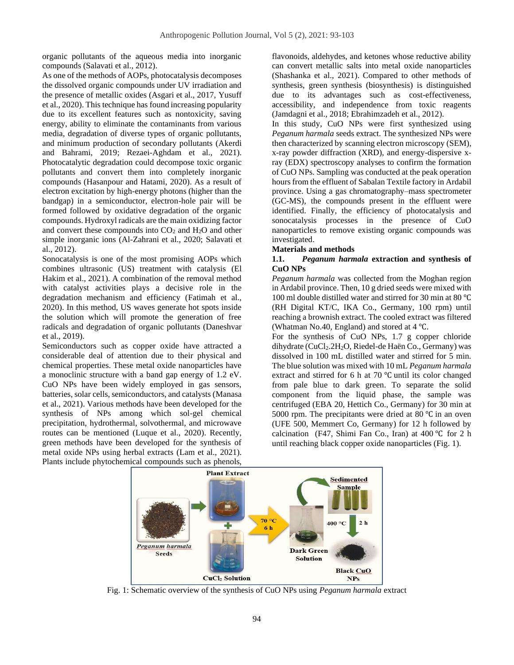organic pollutants of the aqueous media into inorganic compounds (Salavati et al., 2012).

As one of the methods of AOPs, photocatalysis decomposes the dissolved organic compounds under UV irradiation and the presence of metallic oxides (Asgari et al., 2017, Yusuff et al., 2020). This technique has found increasing popularity due to its excellent features such as nontoxicity, saving energy, ability to eliminate the contaminants from various media, degradation of diverse types of organic pollutants, and minimum production of secondary pollutants (Akerdi and Bahrami, 2019; Rezaei-Aghdam et al., 2021). Photocatalytic degradation could decompose toxic organic pollutants and convert them into completely inorganic compounds (Hasanpour and Hatami, 2020). As a result of electron excitation by high-energy photons (higher than the bandgap) in a semiconductor, electron-hole pair will be formed followed by oxidative degradation of the organic compounds. Hydroxyl radicals are the main oxidizing factor and convert these compounds into  $CO<sub>2</sub>$  and  $H<sub>2</sub>O$  and other simple inorganic ions (Al-Zahrani et al., 2020; Salavati et al., 2012).

Sonocatalysis is one of the most promising AOPs which combines ultrasonic (US) treatment with catalysis (El Hakim et al., 2021). A combination of the removal method with catalyst activities plays a decisive role in the degradation mechanism and efficiency (Fatimah et al., 2020). In this method, US waves generate hot spots inside the solution which will promote the generation of free radicals and degradation of organic pollutants (Daneshvar et al., 2019).

Semiconductors such as copper oxide have attracted a considerable deal of attention due to their physical and chemical properties. These metal oxide nanoparticles have a monoclinic structure with a band gap energy of 1.2 eV. CuO NPs have been widely employed in gas sensors, batteries, solar cells, semiconductors, and catalysts (Manasa et al., 2021). Various methods have been developed for the synthesis of NPs among which sol-gel chemical precipitation, hydrothermal, solvothermal, and microwave routes can be mentioned (Luque et al., 2020). Recently, green methods have been developed for the synthesis of metal oxide NPs using herbal extracts (Lam et al., 2021). Plants include phytochemical compounds such as phenols,

flavonoids, aldehydes, and ketones whose reductive ability can convert metallic salts into metal oxide nanoparticles (Shashanka et al., 2021). Compared to other methods of synthesis, green synthesis (biosynthesis) is distinguished due to its advantages such as cost-effectiveness, accessibility, and independence from toxic reagents (Jamdagni et al., 2018; Ebrahimzadeh et al., 2012).

In this study, CuO NPs were first synthesized using *Peganum harmala* seeds extract. The synthesized NPs were then characterized by scanning electron microscopy (SEM), x-ray powder diffraction (XRD), and energy-dispersive xray (EDX) spectroscopy analyses to confirm the formation of CuO NPs. Sampling was conducted at the peak operation hours from the effluent of Sabalan Textile factory in Ardabil province. Using a gas chromatography–mass spectrometer (GC-MS), the compounds present in the effluent were identified. Finally, the efficiency of photocatalysis and sonocatalysis processes in the presence of CuO nanoparticles to remove existing organic compounds was investigated.

#### **Materials and methods**

#### **1.1.** *Peganum harmala* **extraction and synthesis of CuO NPs**

*Peganum harmala* was collected from the Moghan region in Ardabil province. Then, 10 g dried seeds were mixed with 100 ml double distilled water and stirred for 30 min at 80 ℃ (RH Digital KT/C, IKA Co., Germany, 100 rpm) until reaching a brownish extract. The cooled extract was filtered (Whatman No.40, England) and stored at 4 ℃.

For the synthesis of CuO NPs, 1.7 g copper chloride dihydrate (CuCl<sub>2</sub>.2H<sub>2</sub>O, Riedel-de Haën Co., Germany) was dissolved in 100 mL distilled water and stirred for 5 min. The blue solution was mixed with 10 mL *Peganum harmala* extract and stirred for 6 h at 70 ℃ until its color changed from pale blue to dark green. To separate the solid component from the liquid phase, the sample was centrifuged (EBA 20, Hettich Co., Germany) for 30 min at 5000 rpm. The precipitants were dried at 80 ℃ in an oven (UFE 500, Memmert Co, Germany) for 12 h followed by calcination (F47, Shimi Fan Co., Iran) at 400 ℃ for 2 h until reaching black copper oxide nanoparticles (Fig. 1).



Fig. 1: Schematic overview of the synthesis of CuO NPs using *Peganum harmala* extract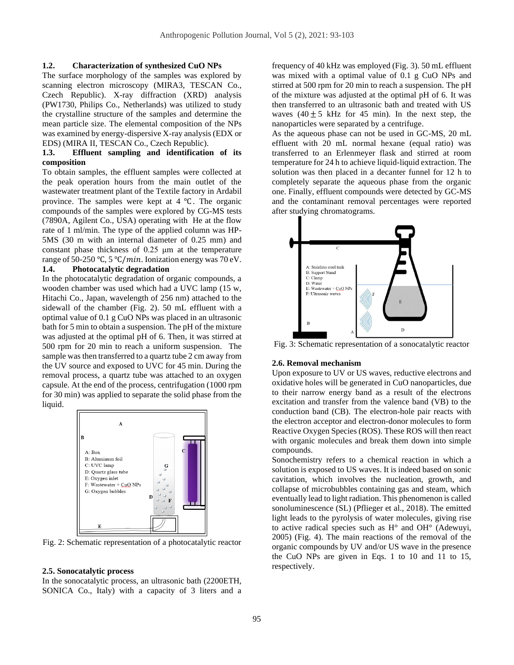#### **1.2. Characterization of synthesized CuO NPs**

The surface morphology of the samples was explored by scanning electron microscopy (MIRA3, TESCAN Co., Czech Republic). X-ray diffraction (XRD) analysis (PW1730, Philips Co., [Netherlands\)](https://www.google.com/search?rlz=1C1GCEU_enIR865IR865&biw=1920&bih=969&sxsrf=ALeKk03cQdAFOCOXowHay7t5O-k4B2VC7g:1600608479449&q=Eindhoven&stick=H4sIAAAAAAAAAOPgE-LQz9U3MC03rlQCs4yyK4y1VLOTrfTzi9IT8zKrEksy8_NQOFZp-aV5Kakpi1g5XTPzUjLyy1LzdrAyAgDu0uCnTAAAAA&sa=X&ved=2ahUKEwi86N2e6_frAhVEAWMBHduWBksQmxMoATAOegQIFhAD) was utilized to study the crystalline structure of the samples and determine the mean particle size. The elemental composition of the NPs was examined by energy-dispersive X-ray analysis (EDX or EDS) (MIRA II, TESCAN Co., Czech Republic).

#### **1.3. Effluent sampling and identification of its composition**

To obtain samples, the effluent samples were collected at the peak operation hours from the main outlet of the wastewater treatment plant of the Textile factory in Ardabil province. The samples were kept at 4 ℃. The organic compounds of the samples were explored by CG-MS tests (7890A, Agilent Co., USA) operating with He at the flow rate of 1 ml/min. The type of the applied column was HP-5MS (30 m with an internal diameter of 0.25 mm) and constant phase thickness of 0.25 μm at the temperature range of 50-250 °C, 5 °C/min. Ionization energy was 70 eV.

#### **1.4. Photocatalytic degradation**

In the photocatalytic degradation of organic compounds, a wooden chamber was used which had a UVC lamp (15 w, Hitachi Co., Japan, wavelength of 256 nm) attached to the sidewall of the chamber (Fig. 2). 50 mL effluent with a optimal value of 0.1 g CuO NPs was placed in an ultrasonic bath for 5 min to obtain a suspension. The pH of the mixture was adjusted at the optimal pH of 6. Then, it was stirred at 500 rpm for 20 min to reach a uniform suspension. The sample was then transferred to a quartz tube 2 cm away from the UV source and exposed to UVC for 45 min. During the removal process, a quartz tube was attached to an oxygen capsule. At the end of the process, centrifugation (1000 rpm for 30 min) was applied to separate the solid phase from the liquid.



Fig. 2: Schematic representation of a photocatalytic reactor

#### **2.5. Sonocatalytic process**

In the sonocatalytic process, an ultrasonic bath (2200ETH, SONICA Co., Italy) with a capacity of 3 liters and a frequency of 40 kHz was employed (Fig. 3). 50 mL effluent was mixed with a optimal value of 0.1 g CuO NPs and stirred at 500 rpm for 20 min to reach a suspension. The pH of the mixture was adjusted at the optimal pH of 6. It was then transferred to an ultrasonic bath and treated with US waves  $(40 \pm 5 \text{ kHz}$  for 45 min). In the next step, the nanoparticles were separated by a centrifuge.

As the aqueous phase can not be used in GC-MS, 20 mL effluent with 20 mL normal hexane (equal ratio) was transferred to an Erlenmeyer flask and stirred at room temperature for 24 h to achieve liquid-liquid extraction. The solution was then placed in a decanter funnel for 12 h to completely separate the aqueous phase from the organic one. Finally, effluent compounds were detected by GC-MS and the contaminant removal percentages were reported after studying chromatograms.



Fig. 3: Schematic representation of a sonocatalytic reactor

#### **2.6. Removal mechanism**

Upon exposure to UV or US waves, reductive electrons and oxidative holes will be generated in CuO nanoparticles, due to their narrow energy band as a result of the electrons excitation and transfer from the valence band (VB) to the conduction band (CB). The electron-hole pair reacts with the electron acceptor and electron-donor molecules to form Reactive Oxygen Species (ROS). These ROS will then react with organic molecules and break them down into simple compounds.

Sonochemistry refers to a chemical reaction in which a solution is exposed to US waves. It is indeed based on sonic cavitation, which involves the nucleation, growth, and collapse of microbubbles containing gas and steam, which eventually lead to light radiation. This phenomenon is called sonoluminescence (SL) (Pflieger et al., 2018). The emitted light leads to the pyrolysis of water molecules, giving rise to active radical species such as H° and OH° (Adewuyi, 2005) (Fig. 4). The main reactions of the removal of the organic compounds by UV and/or US wave in the presence the CuO NPs are given in Eqs. 1 to 10 and 11 to 15, respectively.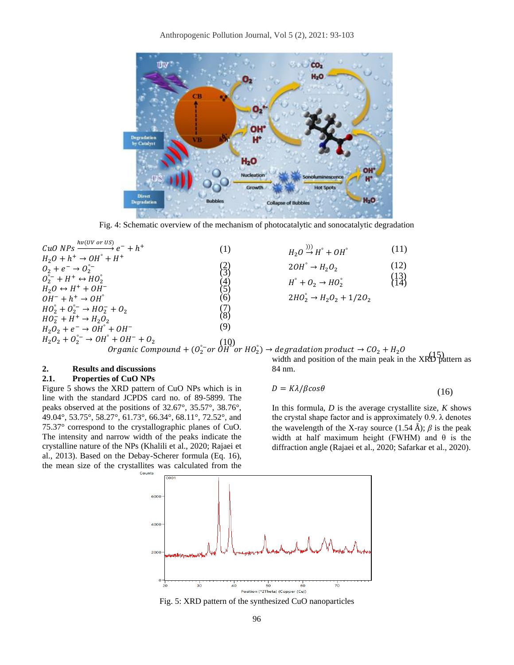

Fig. 4: Schematic overview of the mechanism of photocatalytic and sonocatalytic degradation

| $hv(UV$ or $US)$                                                                                      |                |
|-------------------------------------------------------------------------------------------------------|----------------|
| CuO NPs $\longrightarrow^{\bullet} e^- + h^+$                                                         | (1)            |
| $H_2O + h^+ \rightarrow OH^{\circ} + H^+$                                                             |                |
| $0_2 + e^- \rightarrow 0_2$ <sup>o</sup>                                                              | $\binom{2}{3}$ |
| $0^{\circ-}_{2} + H^{+} \leftrightarrow HO^{\circ}$                                                   |                |
| $H_2O \leftrightarrow H^+ + OH^-$                                                                     | $\binom{4}{5}$ |
| $OH^- + h^+ \rightarrow OH^{\circ}$                                                                   | (6)            |
| $HO_2^{\circ} + O_2^{\circ -} \rightarrow HO_2^- + O_2$                                               | $\binom{7}{8}$ |
| $HO_2^- + H^+ \rightarrow H_2O_2$                                                                     |                |
| $H_2O_2 + e^- \rightarrow OH^{\circ} + OH^-$                                                          | (9)            |
| $H_2O_2 + O_2^{\circ -} \rightarrow OH^{\circ} + OH^- + O_2$                                          |                |
| $+$ 0n $+$ 0 <sub>2</sub> (10)<br>Organic Compound + (0 <sup>°</sup> - or 0 <sup>H</sup> <sup>°</sup> |                |

| $H_2O \stackrel{(1)}{\rightarrow} H^{\circ} + OH^{\circ}$ | (11)             |
|-----------------------------------------------------------|------------------|
| $2OH^{\circ} \rightarrow H_2O_2$                          | (12)             |
| $H^{\circ} + O_2 \rightarrow HO_2^{\circ}$                | $\binom{13}{14}$ |

$$
2HO_2^\circ \rightarrow H_2O_2 + 1/2O_2
$$

Organic Compound + (O $_{2}^{\circ-}$ or  $\grave{\theta H}^{\circ}$ or HO $_{2}^{\circ}$ )  $\rightarrow$  degradation product  $\rightarrow$  CO $_{2}$  + H $_{2}$ O width and position of the main peak in the XRD pattern as width and position of the main peak in the XRD pattern as

# **2. Results and discussions**

#### **2.1. Properties of CuO NPs**

Figure 5 shows the XRD pattern of CuO NPs which is in line with the standard JCPDS card no. of 89-5899. The peaks observed at the positions of 32.67°, 35.57°, 38.76°, 49.04°, 53.75°, 58.27°, 61.73°, 66.34°, 68.11°, 72.52°, and 75.37° correspond to the crystallographic planes of CuO. The intensity and narrow width of the peaks indicate the crystalline nature of the NPs (Khalili et al., 2020; Rajaei et al., 2013). Based on the Debay-Scherer formula (Eq. 16), the mean size of the crystallites was calculated from the

84 nm.

 $D = K\lambda/\beta cos\theta$ (16)

In this formula, *D* is the average crystallite size, *K* shows the crystal shape factor and is approximately  $0.9$ .  $\lambda$  denotes the wavelength of the X-ray source  $(1.54 \text{ Å})$ ;  $\beta$  is the peak width at half maximum height (FWHM) and  $\theta$  is the diffraction angle (Rajaei et al., 2020; Safarkar et al., 2020).



Fig. 5: XRD pattern of the synthesized CuO nanoparticles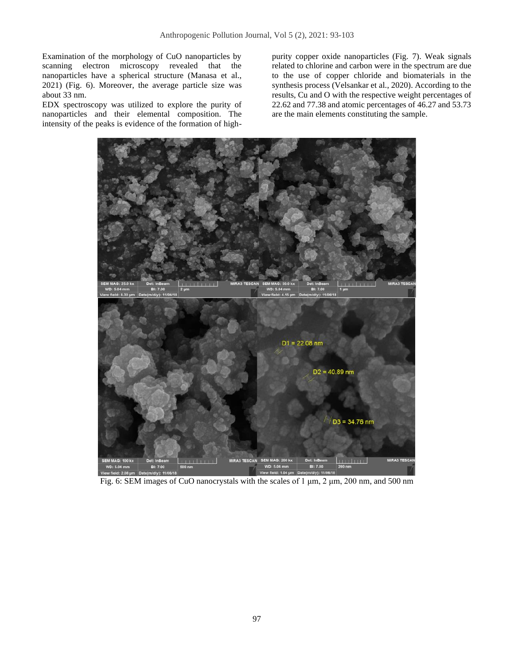Examination of the morphology of CuO nanoparticles by scanning electron microscopy revealed that the nanoparticles have a spherical structure (Manasa et al., 2021) (Fig. 6). Moreover, the average particle size was about 33 nm.

EDX spectroscopy was utilized to explore the purity of nanoparticles and their elemental composition. The intensity of the peaks is evidence of the formation of high-

purity copper oxide nanoparticles (Fig. 7). Weak signals related to chlorine and carbon were in the spectrum are due to the use of copper chloride and biomaterials in the synthesis process (Velsankar et al., 2020). According to the results, Cu and O with the respective weight percentages of 22.62 and 77.38 and atomic percentages of 46.27 and 53.73 are the main elements constituting the sample.



Fig. 6: SEM images of CuO nanocrystals with the scales of 1 μm, 2 μm, 200 nm, and 500 nm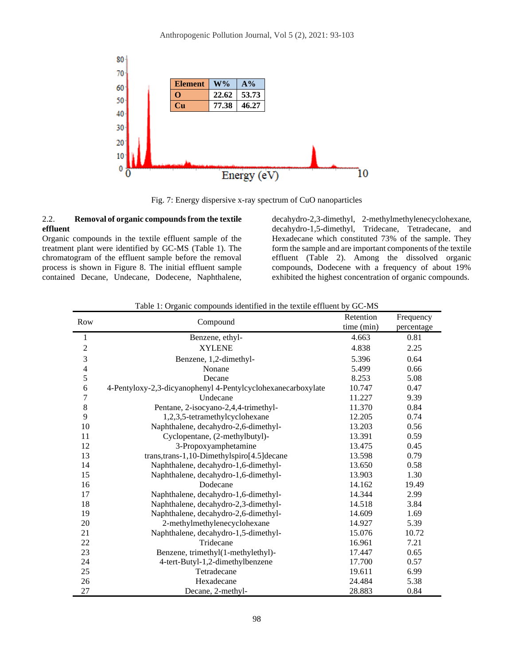

Fig. 7: Energy dispersive x-ray spectrum of CuO nanoparticles

## 2.2. **Removal of organic compounds from the textile effluent**

Organic compounds in the textile effluent sample of the treatment plant were identified by GC-MS (Table 1). The chromatogram of the effluent sample before the removal process is shown in Figure 8. The initial effluent sample contained Decane, Undecane, Dodecene, Naphthalene,

decahydro-2,3-dimethyl, 2-methylmethylenecyclohexane, decahydro-1,5-dimethyl, Tridecane, Tetradecane, and Hexadecane which constituted 73% of the sample. They form the sample and are important components of the textile effluent (Table 2). Among the dissolved organic compounds, Dodecene with a frequency of about 19% exhibited the highest concentration of organic compounds.

| Row<br>Compound |                                                              | Retention  | Frequency  |
|-----------------|--------------------------------------------------------------|------------|------------|
|                 |                                                              | time (min) | percentage |
| 1               | Benzene, ethyl-                                              | 4.663      | 0.81       |
| $\overline{c}$  | <b>XYLENE</b>                                                | 4.838      | 2.25       |
| 3               | Benzene, 1,2-dimethyl-                                       | 5.396      | 0.64       |
| $\overline{4}$  | Nonane                                                       | 5.499      | 0.66       |
| 5               | Decane                                                       | 8.253      | 5.08       |
| 6               | 4-Pentyloxy-2,3-dicyanophenyl 4-Pentylcyclohexanecarboxylate | 10.747     | 0.47       |
| 7               | Undecane                                                     | 11.227     | 9.39       |
| 8               | Pentane, 2-isocyano-2,4,4-trimethyl-                         | 11.370     | 0.84       |
| 9               | 1,2,3,5-tetramethylcyclohexane                               | 12.205     | 0.74       |
| 10              | Naphthalene, decahydro-2,6-dimethyl-                         | 13.203     | 0.56       |
| 11              | Cyclopentane, (2-methylbutyl)-                               | 13.391     | 0.59       |
| 12              | 3-Propoxyamphetamine                                         | 13.475     | 0.45       |
| 13              | trans, trans-1, 10-Dimethylspiro[4.5] decane                 | 13.598     | 0.79       |
| 14              | Naphthalene, decahydro-1,6-dimethyl-                         | 13.650     | 0.58       |
| 15              | Naphthalene, decahydro-1,6-dimethyl-                         | 13.903     | 1.30       |
| 16              | Dodecane                                                     | 14.162     | 19.49      |
| 17              | Naphthalene, decahydro-1,6-dimethyl-                         | 14.344     | 2.99       |
| 18              | Naphthalene, decahydro-2,3-dimethyl-                         | 14.518     | 3.84       |
| 19              | Naphthalene, decahydro-2,6-dimethyl-                         | 14.609     | 1.69       |
| 20              | 2-methylmethylenecyclohexane                                 | 14.927     | 5.39       |
| 21              | Naphthalene, decahydro-1,5-dimethyl-                         | 15.076     | 10.72      |
| 22              | Tridecane                                                    | 16.961     | 7.21       |
| 23              | Benzene, trimethyl(1-methylethyl)-                           | 17.447     | 0.65       |
| 24              | 4-tert-Butyl-1,2-dimethylbenzene                             | 17.700     | 0.57       |
| 25              | Tetradecane                                                  | 19.611     | 6.99       |
| 26              | Hexadecane                                                   | 24.484     | 5.38       |
| 27              | Decane, 2-methyl-                                            | 28.883     | 0.84       |

Table 1: Organic compounds identified in the textile effluent by GC-MS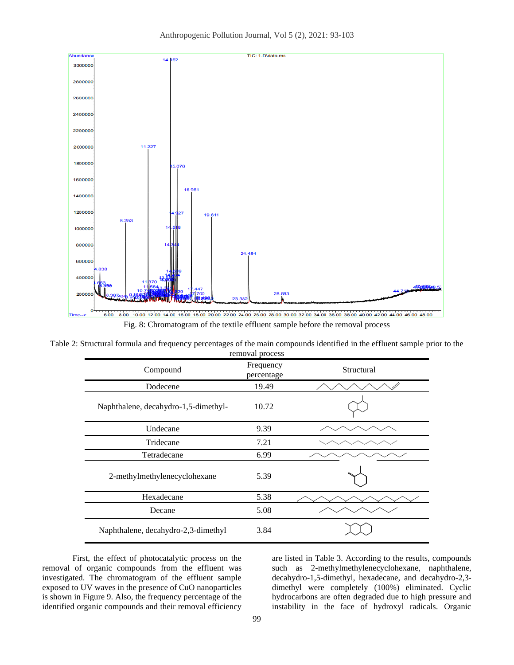

Table 2: Structural formula and frequency percentages of the main compounds identified in the effluent sample prior to the removal process

| reflioval process                    |                         |            |  |  |  |
|--------------------------------------|-------------------------|------------|--|--|--|
| Compound                             | Frequency<br>percentage | Structural |  |  |  |
| Dodecene                             | 19.49                   |            |  |  |  |
| Naphthalene, decahydro-1,5-dimethyl- | 10.72                   |            |  |  |  |
| Undecane                             | 9.39                    |            |  |  |  |
| Tridecane                            | 7.21                    |            |  |  |  |
| Tetradecane                          | 6.99                    |            |  |  |  |
| 2-methylmethylenecyclohexane         | 5.39                    |            |  |  |  |
| Hexadecane                           | 5.38                    |            |  |  |  |
| Decane                               | 5.08                    |            |  |  |  |
| Naphthalene, decahydro-2,3-dimethyl  | 3.84                    |            |  |  |  |

First, the effect of photocatalytic process on the removal of organic compounds from the effluent was investigated. The chromatogram of the effluent sample exposed to UV waves in the presence of CuO nanoparticles is shown in Figure 9. Also, the frequency percentage of the identified organic compounds and their removal efficiency are listed in Table 3. According to the results, compounds such as 2-methylmethylenecyclohexane, naphthalene, decahydro-1,5-dimethyl, hexadecane, and decahydro-2,3 dimethyl were completely (100%) eliminated. Cyclic hydrocarbons are often degraded due to high pressure and instability in the face of hydroxyl radicals. Organic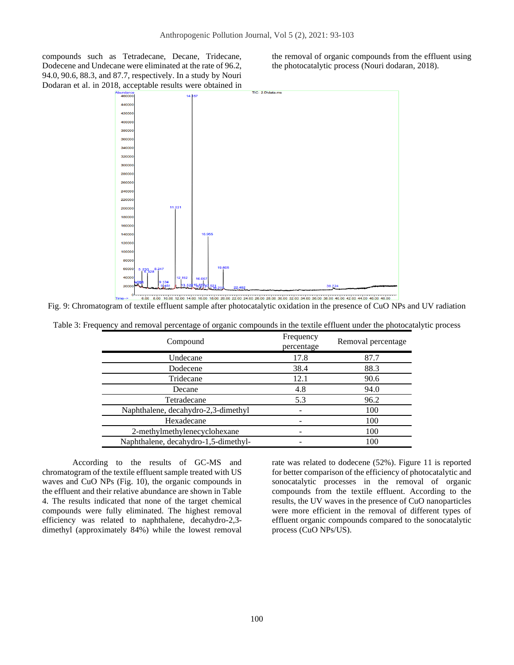compounds such as Tetradecane, Decane, Tridecane, Dodecene and Undecane were eliminated at the rate of 96.2, 94.0, 90.6, 88.3, and 87.7, respectively. In a study by Nouri Dodaran et al. in 2018, acceptable results were obtained in the removal of organic compounds from the effluent using the photocatalytic process (Nouri dodaran, 2018).



Fig. 9: Chromatogram of textile effluent sample after photocatalytic oxidation in the presence of CuO NPs and UV radiation

| Table 3: Frequency and removal percentage of organic compounds in the textile effluent under the photocatalytic process |  |  |  |  |
|-------------------------------------------------------------------------------------------------------------------------|--|--|--|--|
|                                                                                                                         |  |  |  |  |

| Compound                             | Frequency<br>percentage | Removal percentage |  |
|--------------------------------------|-------------------------|--------------------|--|
| Undecane                             | 17.8                    | 87.7               |  |
| Dodecene                             | 38.4                    | 88.3               |  |
| Tridecane                            | 12.1                    | 90.6               |  |
| Decane                               | 4.8                     | 94.0               |  |
| Tetradecane                          | 5.3                     | 96.2               |  |
| Naphthalene, decahydro-2,3-dimethyl  |                         | 100                |  |
| Hexadecane                           |                         | 100                |  |
| 2-methylmethylenecyclohexane         |                         | 100                |  |
| Naphthalene, decahydro-1,5-dimethyl- |                         | 100                |  |

According to the results of GC-MS and chromatogram of the textile effluent sample treated with US waves and CuO NPs (Fig. 10), the organic compounds in the effluent and their relative abundance are shown in Table 4. The results indicated that none of the target chemical compounds were fully eliminated. The highest removal efficiency was related to naphthalene, decahydro-2,3 dimethyl (approximately 84%) while the lowest removal

rate was related to dodecene (52%). Figure 11 is reported for better comparison of the efficiency of photocatalytic and sonocatalytic processes in the removal of organic compounds from the textile effluent. According to the results, the UV waves in the presence of CuO nanoparticles were more efficient in the removal of different types of effluent organic compounds compared to the sonocatalytic process (CuO NPs/US).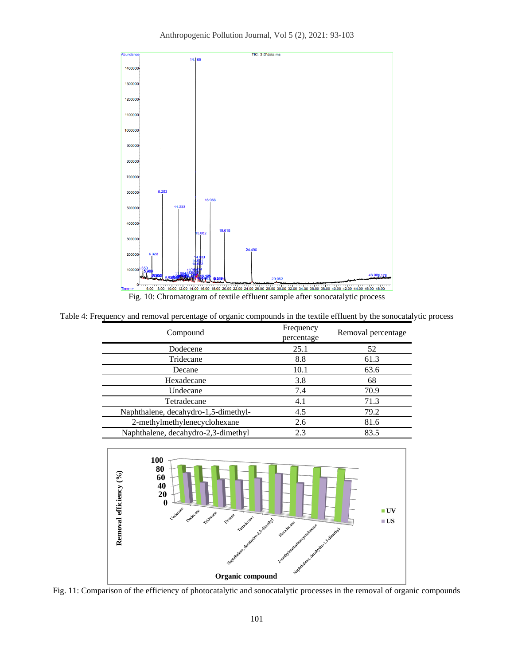Anthropogenic Pollution Journal, Vol 5 (2), 2021: 93-103



Table 4: Frequency and removal percentage of organic compounds in the textile effluent by the sonocatalytic process

| Compound                             | Frequency<br>percentage | Removal percentage |
|--------------------------------------|-------------------------|--------------------|
| Dodecene                             | 25.1                    | 52                 |
| Tridecane                            | 8.8                     | 61.3               |
| Decane                               | 10.1                    | 63.6               |
| Hexadecane                           | 3.8                     | 68                 |
| Undecane                             | 7.4                     | 70.9               |
| Tetradecane                          | 4.1                     | 71.3               |
| Naphthalene, decahydro-1,5-dimethyl- | 4.5                     | 79.2               |
| 2-methylmethylenecyclohexane         | 2.6                     | 81.6               |
| Naphthalene, decahydro-2,3-dimethyl  | 2.3                     | 83.5               |
|                                      |                         |                    |



Fig. 11: Comparison of the efficiency of photocatalytic and sonocatalytic processes in the removal of organic compounds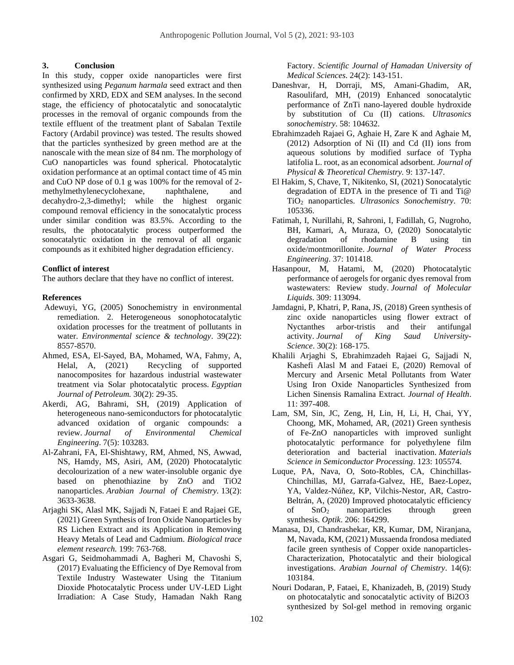#### **3. Conclusion**

In this study, copper oxide nanoparticles were first synthesized using *Peganum harmala* seed extract and then confirmed by XRD, EDX and SEM analyses. In the second stage, the efficiency of photocatalytic and sonocatalytic processes in the removal of organic compounds from the textile effluent of the treatment plant of Sabalan Textile Factory (Ardabil province) was tested. The results showed that the particles synthesized by green method are at the nanoscale with the mean size of 84 nm. The morphology of CuO nanoparticles was found spherical. Photocatalytic oxidation performance at an optimal contact time of 45 min and CuO NP dose of 0.1 g was 100% for the removal of 2 methylmethylenecyclohexane, naphthalene, and decahydro-2,3-dimethyl; while the highest organic compound removal efficiency in the sonocatalytic process under similar condition was 83.5%. According to the results, the photocatalytic process outperformed the sonocatalytic oxidation in the removal of all organic compounds as it exhibited higher degradation efficiency.

## **Conflict of interest**

The authors declare that they have no conflict of interest.

#### **References**

- Adewuyi, YG, (2005) Sonochemistry in environmental remediation. 2. Heterogeneous sonophotocatalytic oxidation processes for the treatment of pollutants in water. *Environmental science & technology*. 39(22): 8557-8570.
- Ahmed, ESA, El-Sayed, BA, Mohamed, WA, Fahmy, A, Helal, A, (2021) Recycling of supported nanocomposites for hazardous industrial wastewater treatment via Solar photocatalytic process. *Egyptian Journal of Petroleum.* 30(2): 29-35.
- Akerdi, AG, Bahrami, SH, (2019) Application of heterogeneous nano-semiconductors for photocatalytic advanced oxidation of organic compounds: a review. *Journal of Environmental Chemical Engineering*. 7(5): 103283.
- Al-Zahrani, FA, El-Shishtawy, RM, Ahmed, NS, Awwad, NS, Hamdy, MS, Asiri, AM, (2020) Photocatalytic decolourization of a new water-insoluble organic dye based on phenothiazine by ZnO and TiO2 nanoparticles. *Arabian Journal of Chemistry.* 13(2): 3633-3638.
- Arjaghi SK, Alasl MK, Sajjadi N, Fataei E and Rajaei GE, (2021) Green Synthesis of Iron Oxide Nanoparticles by RS Lichen Extract and its Application in Removing Heavy Metals of Lead and Cadmium. *Biological trace element research.* 199: 763-768.
- Asgari G, Seidmohammadi A, Bagheri M, Chavoshi S, (2017[\) Evaluating the Efficiency of Dye Removal from](http://sjh.umsha.ac.ir/article-1-1503-en.pdf)  [Textile Industry Wastewater Using the Titanium](http://sjh.umsha.ac.ir/article-1-1503-en.pdf)  [Dioxide Photocatalytic Process under UV-LED Light](http://sjh.umsha.ac.ir/article-1-1503-en.pdf)  [Irradiation: A Case Study, Hamadan Nakh Rang](http://sjh.umsha.ac.ir/article-1-1503-en.pdf)

[Factory.](http://sjh.umsha.ac.ir/article-1-1503-en.pdf) *Scientific Journal of Hamadan University of Medical Sciences*. 24(2): 143-151.

- Daneshvar, H, Dorraji, MS, Amani-Ghadim, AR, Rasoulifard, MH, (2019) Enhanced sonocatalytic performance of ZnTi nano-layered double hydroxide by substitution of Cu (II) cations. *Ultrasonics sonochemistry*. 58: 104632.
- Ebrahimzadeh Rajaei G, Aghaie H, Zare K and Aghaie M, (2012) Adsorption of Ni (II) and Cd (II) ions from aqueous solutions by modified surface of Typha latifolia L. root, as an economical adsorbent. *Journal of Physical & Theoretical Chemistry.* 9: 137-147.
- El Hakim, S, Chave, T, Nikitenko, SI, (2021) Sonocatalytic degradation of EDTA in the presence of Ti and Ti@ TiO<sup>2</sup> nanoparticles. *Ultrasonics Sonochemistry*. 70: 105336.
- Fatimah, I, Nurillahi, R, Sahroni, I, Fadillah, G, Nugroho, BH, Kamari, A, Muraza, O, (2020) Sonocatalytic degradation of rhodamine B using tin oxide/montmorillonite. *Journal of Water Process Engineering*. 37: 101418.
- Hasanpour, M, Hatami, M, (2020) Photocatalytic performance of aerogels for organic dyes removal from wastewaters: Review study. *Journal of Molecular Liquids*. 309: 113094.
- Jamdagni, P, Khatri, P, Rana, JS, (2018) Green synthesis of zinc oxide nanoparticles using flower extract of Nyctanthes arbor-tristis and their antifungal activity. *Journal of King Saud University-Science*. 30(2): 168-175.
- Khalili Arjaghi S, Ebrahimzadeh Rajaei G, Sajjadi N, Kashefi Alasl M and Fataei E, (2020) Removal of Mercury and Arsenic Metal Pollutants from Water Using Iron Oxide Nanoparticles Synthesized from Lichen Sinensis Ramalina Extract. *Journal of Health*. 11: 397-408.
- Lam, SM, Sin, JC, Zeng, H, Lin, H, Li, H, Chai, YY, Choong, MK, Mohamed, AR, (2021) Green synthesis of Fe-ZnO nanoparticles with improved sunlight photocatalytic performance for polyethylene film deterioration and bacterial inactivation. *Materials Science in Semiconductor Processing*. 123: 105574.
- Luque, PA, Nava, O, Soto-Robles, CA, Chinchillas-Chinchillas, MJ, Garrafa-Galvez, HE, Baez-Lopez, YA, Valdez-Núñez, KP, Vilchis-Nestor, AR, Castro-Beltrán, A, (2020) Improved photocatalytic efficiency of SnO<sup>2</sup> nanoparticles through green synthesis. *Optik*. 206: 164299.
- Manasa, DJ, Chandrashekar, KR, Kumar, DM, Niranjana, M, Navada, KM, (2021) Mussaenda frondosa mediated facile green synthesis of Copper oxide nanoparticles-Characterization, Photocatalytic and their biological investigations. *Arabian Journal of Chemistry*. 14(6): 103184.
- Nouri Dodaran, P, Fataei, E, Khanizadeh, B, (2019) Study on photocatalytic and sonocatalytic activity of Bi2O3 synthesized by Sol-gel method in removing organic